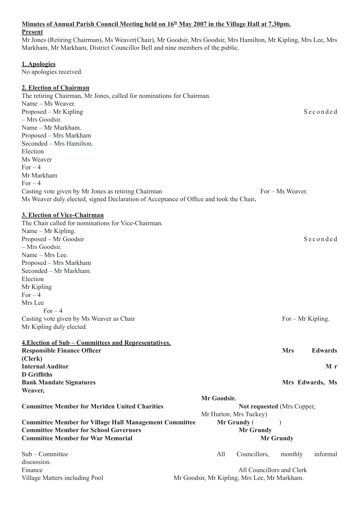# Minutes of Annual Parish Council Meeting held on  $16<sup>th</sup>$  May 2007 in the Village Hall at 7.30pm. **Present** Mr Jones (Retiring Chairman), Ms Weaver(Chair), Mr Goodsir, Mrs Goodsir, Mrs Hamilton, Mr Kipling, Mrs Lee, Mrs Markham, Mr Markham, District Councillor Bell and nine members of the public. **1. Apologies** No apologies received. **2. Election of Chairman** The retiring Chairman, Mr Jones, called for nominations for Chairman. Name – Ms Weaver. Proposed – Mr Kipling S e c o n d e d – Mrs Goodsir. Name – Mr Markham. Proposed – Mrs Markham Seconded – Mrs Hamilton. Election Ms Weaver For  $-4$ Mr Markham  $For-4$ Casting vote given by Mr Jones as retiring Chairman For – Ms Weaver. Ms Weaver duly elected, signed Declaration of Acceptance of Office and took the Chair**. 3. Election of Vice-Chairman** The Chair called for nominations for Vice-Chairman. Name – Mr Kipling. Proposed – Mr Goodsir S e c o n d e d – Mrs Goodsir. Name – Mrs Lee. Proposed – Mrs Markham Seconded – Mr Markham. Election Mr Kipling  $For-4$ Mrs Lee For  $-4$ Casting vote given by Ms Weaver as Chair  $For - Mr$  Kipling. Mr Kipling duly elected. **4.Election of Sub – Committees and Representatives. Responsible Finance Officer and Strategies and Strategies and Strategies and Strategies and Strategies and Strategies and Strategies and Strategies and Strategies and Strategies and Strategies and Strategies and Strategie (Clerk) Internal Auditor M r M r D Griffiths Bank Mandate Signatures and School School School School School School School School School School School School School School School School School School School School School School School School School School School Scho Weaver, Mr Goodsir. Committee Member for Meriden United Charities Notified Blue Committee Member of Mrs Copper,** Mr Hurton, Mrs Tuckey) **Committee Member for Village Hall Management Committee Mr Grundy (Separately) Mr Grundy (Separately) Committee Member for School Governors The Committee Member for School Governors Area Mr Grundy Committee Member for War Memorial Mr Grundy** Mr Grundy Sub – Committee All Councillors, monthly informal discussion. Finance All Councillors and Clerk Village Matters including Pool Mr Goodsir, Mr Kipling, Mrs Lee, Mr Markham.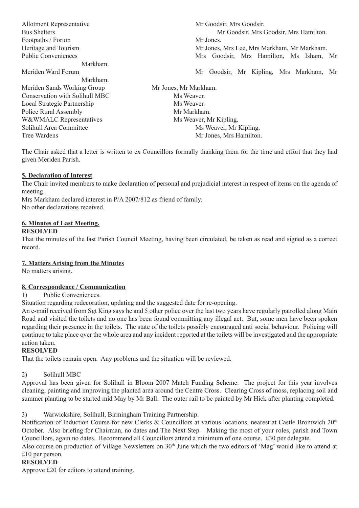| Allotment Representative       | Mr Goodsir, Mrs Goodsir.                    |
|--------------------------------|---------------------------------------------|
| <b>Bus Shelters</b>            | Mr Goodsir, Mrs Goodsir, Mrs Hamilton.      |
| Footpaths / Forum              | Mr Jones.                                   |
| Heritage and Tourism           | Mr Jones, Mrs Lee, Mrs Markham, Mr Markham. |
| <b>Public Conveniences</b>     | Mrs Goodsir, Mrs Hamilton, Ms Isham, Mr     |
| Markham.                       |                                             |
| Meriden Ward Forum             | Mr Goodsir, Mr Kipling, Mrs Markham, Mr     |
| Markham.                       |                                             |
| Meriden Sands Working Group    | Mr Jones, Mr Markham.                       |
| Conservation with Solihull MBC | Ms Weaver.                                  |
| Local Strategic Partnership    | Ms Weaver.                                  |
| Police Rural Assembly          | Mr Markham.                                 |
| W&WMALC Representatives        | Ms Weaver, Mr Kipling.                      |
| Solihull Area Committee        | Ms Weaver, Mr Kipling.                      |
| Tree Wardens                   | Mr Jones, Mrs Hamilton.                     |
|                                |                                             |

The Chair asked that a letter is written to ex Councillors formally thanking them for the time and effort that they had given Meriden Parish.

## **5. Declaration of Interest**

The Chair invited members to make declaration of personal and prejudicial interest in respect of items on the agenda of meeting.

Mrs Markham declared interest in P/A 2007/812 as friend of family. No other declarations received.

## **6. Minutes of Last Meeting.**

#### **RESOLVED**

That the minutes of the last Parish Council Meeting, having been circulated, be taken as read and signed as a correct record.

### **7. Matters Arising from the Minutes**

No matters arising.

## **8. Correspondence / Communication**

1) Public Conveniences.

Situation regarding redecoration, updating and the suggested date for re-opening.

An e-mail received from Sgt King says he and 5 other police over the last two years have regularly patrolled along Main Road and visited the toilets and no one has been found committing any illegal act. But, some men have been spoken regarding their presence in the toilets. The state of the toilets possibly encouraged anti social behaviour. Policing will continue to take place over the whole area and any incident reported at the toilets will be investigated and the appropriate action taken.

### **RESOLVED**

That the toilets remain open. Any problems and the situation will be reviewed.

### 2) Solihull MBC

Approval has been given for Solihull in Bloom 2007 Match Funding Scheme. The project for this year involves cleaning, painting and improving the planted area around the Centre Cross. Clearing Cross of moss, replacing soil and summer planting to be started mid May by Mr Ball. The outer rail to be painted by Mr Hick after planting completed.

3) Warwickshire, Solihull, Birmingham Training Partnership.

Notification of Induction Course for new Clerks & Councillors at various locations, nearest at Castle Bromwich 20<sup>th</sup> October. Also briefing for Chairman, no dates and The Next Step – Making the most of your roles, parish and Town Councillors, again no dates. Recommend all Councillors attend a minimum of one course. £30 per delegate.

Also course on production of Village Newsletters on 30<sup>th</sup> June which the two editors of 'Mag' would like to attend at £10 per person.

### **RESOLVED**

Approve £20 for editors to attend training.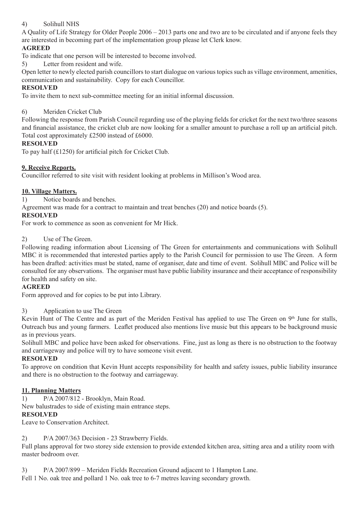# 4) Solihull NHS

A Quality of Life Strategy for Older People 2006 – 2013 parts one and two are to be circulated and if anyone feels they are interested in becoming part of the implementation group please let Clerk know.

# **AGREED**

To indicate that one person will be interested to become involved.

5) Letter from resident and wife.

Open letter to newly elected parish councillors to start dialogue on various topics such as village environment, amenities, communication and sustainability. Copy for each Councillor.

### **RESOLVED**

To invite them to next sub-committee meeting for an initial informal discussion.

## 6) Meriden Cricket Club

Following the response from Parish Council regarding use of the playing fields for cricket for the next two/three seasons and financial assistance, the cricket club are now looking for a smaller amount to purchase a roll up an artificial pitch. Total cost approximately £2500 instead of £6000.

### **RESOLVED**

To pay half (£1250) for artificial pitch for Cricket Club.

## **9. Receive Reports.**

Councillor referred to site visit with resident looking at problems in Millison's Wood area.

### **10. Village Matters.**

1) Notice boards and benches.

Agreement was made for a contract to maintain and treat benches (20) and notice boards (5).

## **RESOLVED**

For work to commence as soon as convenient for Mr Hick.

### 2) Use of The Green.

Following reading information about Licensing of The Green for entertainments and communications with Solihull MBC it is recommended that interested parties apply to the Parish Council for permission to use The Green. A form has been drafted: activities must be stated, name of organiser, date and time of event. Solihull MBC and Police will be consulted for any observations. The organiser must have public liability insurance and their acceptance of responsibility for health and safety on site.

### **AGREED**

Form approved and for copies to be put into Library.

### 3) Application to use The Green

Kevin Hunt of The Centre and as part of the Meriden Festival has applied to use The Green on 9<sup>th</sup> June for stalls, Outreach bus and young farmers. Leaflet produced also mentions live music but this appears to be background music as in previous years.

Solihull MBC and police have been asked for observations. Fine, just as long as there is no obstruction to the footway and carriageway and police will try to have someone visit event.

### **RESOLVED**

To approve on condition that Kevin Hunt accepts responsibility for health and safety issues, public liability insurance and there is no obstruction to the footway and carriageway.

### **11. Planning Matters**

1) P/A 2007/812 - Brooklyn, Main Road.

New balustrades to side of existing main entrance steps.

### **RESOLVED**

Leave to Conservation Architect.

### 2) P/A 2007/363 Decision - 23 Strawberry Fields.

Full plans approval for two storey side extension to provide extended kitchen area, sitting area and a utility room with master bedroom over.

3) P/A 2007/899 – Meriden Fields Recreation Ground adjacent to 1 Hampton Lane.

Fell 1 No. oak tree and pollard 1 No. oak tree to 6-7 metres leaving secondary growth.